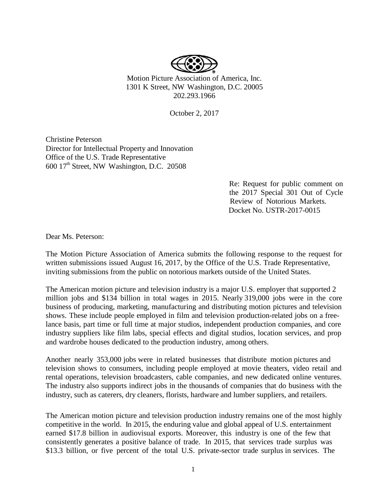

Motion Picture Association of America, Inc. 1301 K Street, NW Washington, D.C. 20005 202.293.1966

October 2, 2017

Christine Peterson Director for Intellectual Property and Innovation Office of the U.S. Trade Representative 600 17<sup>th</sup> Street, NW Washington, D.C. 20508

> Re: Request for public comment on the 2017 Special 301 Out of Cycle Review of Notorious Markets. Docket No. USTR-2017-0015

Dear Ms. Peterson:

The Motion Picture Association of America submits the following response to the request for written submissions issued August 16, 2017, by the Office of the U.S. Trade Representative, inviting submissions from the public on notorious markets outside of the United States.

The American motion picture and television industry is a major U.S. employer that supported 2 million jobs and \$134 billion in total wages in 2015. Nearly 319,000 jobs were in the core business of producing, marketing, manufacturing and distributing motion pictures and television shows. These include people employed in film and television production-related jobs on a freelance basis, part time or full time at major studios, independent production companies, and core industry suppliers like film labs, special effects and digital studios, location services, and prop and wardrobe houses dedicated to the production industry, among others.

Another nearly 353,000 jobs were in related businesses that distribute motion pictures and television shows to consumers, including people employed at movie theaters, video retail and rental operations, television broadcasters, cable companies, and new dedicated online ventures. The industry also supports indirect jobs in the thousands of companies that do business with the industry, such as caterers, dry cleaners, florists, hardware and lumber suppliers, and retailers.

The American motion picture and television production industry remains one of the most highly competitive in the world. In 2015, the enduring value and global appeal of U.S. entertainment earned \$17.8 billion in audiovisual exports. Moreover, this industry is one of the few that consistently generates a positive balance of trade. In 2015, that services trade surplus was \$13.3 billion, or five percent of the total U.S. private-sector trade surplus in services. The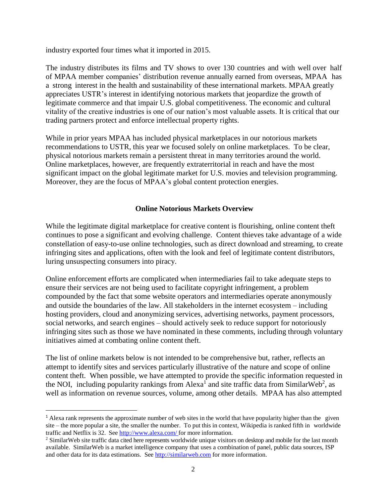industry exported four times what it imported in 2015.

The industry distributes its films and TV shows to over 130 countries and with well over half of MPAA member companies' distribution revenue annually earned from overseas, MPAA has a strong interest in the health and sustainability of these international markets. MPAA greatly appreciates USTR's interest in identifying notorious markets that jeopardize the growth of legitimate commerce and that impair U.S. global competitiveness. The economic and cultural vitality of the creative industries is one of our nation's most valuable assets. It is critical that our trading partners protect and enforce intellectual property rights.

While in prior years MPAA has included physical marketplaces in our notorious markets recommendations to USTR, this year we focused solely on online marketplaces. To be clear, physical notorious markets remain a persistent threat in many territories around the world. Online marketplaces, however, are frequently extraterritorial in reach and have the most significant impact on the global legitimate market for U.S. movies and television programming. Moreover, they are the focus of MPAA's global content protection energies.

## **Online Notorious Markets Overview**

While the legitimate digital marketplace for creative content is flourishing, online content theft continues to pose a significant and evolving challenge. Content thieves take advantage of a wide constellation of easy-to-use online technologies, such as direct download and streaming, to create infringing sites and applications, often with the look and feel of legitimate content distributors, luring unsuspecting consumers into piracy.

Online enforcement efforts are complicated when intermediaries fail to take adequate steps to ensure their services are not being used to facilitate copyright infringement, a problem compounded by the fact that some website operators and intermediaries operate anonymously and outside the boundaries of the law. All stakeholders in the internet ecosystem – including hosting providers, cloud and anonymizing services, advertising networks, payment processors, social networks, and search engines – should actively seek to reduce support for notoriously infringing sites such as those we have nominated in these comments, including through voluntary initiatives aimed at combating online content theft.

The list of online markets below is not intended to be comprehensive but, rather, reflects an attempt to identify sites and services particularly illustrative of the nature and scope of online content theft. When possible, we have attempted to provide the specific information requested in the NOI, including popularity rankings from Alexa<sup>1</sup> and site traffic data from SimilarWeb<sup>2</sup>, as well as information on revenue sources, volume, among other details. MPAA has also attempted

 $\overline{a}$ 

<sup>1</sup> Alexa rank represents the approximate number of web sites in the world that have popularity higher than the given site – the more popular a site, the smaller the number. To put this in context, Wikipedia is ranked fifth in worldwide traffic and Netflix is 32. See <http://www.alexa.com/> for more information.

<sup>2</sup> SimilarWeb site traffic data cited here represents worldwide unique visitors on desktop and mobile for the last month available. SimilarWeb is a market intelligence company that uses a combination of panel, public data sources, ISP and other data for its data estimations. See [http://similarweb.com](https://na01.safelinks.protection.outlook.com/?url=http%3A%2F%2Fsimilarweb.com&data=02%7C01%7CJulia_Jenks%40mpaa.org%7C2f3355d75547410aa70208d50326ca5a%7C17e50b56d5dd439b962acc7ecd9ab7fe%7C0%7C0%7C636418387501649432&sdata=vg%2BwuZ3xpuXL27O9gCwiHiXluJTCB81bZIpfv7q%2FKH0%3D&reserved=0) for more information.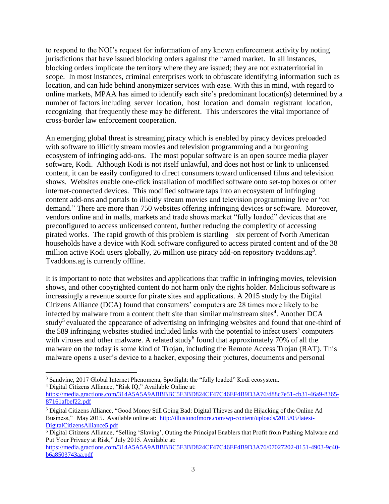to respond to the NOI's request for information of any known enforcement activity by noting jurisdictions that have issued blocking orders against the named market. In all instances, blocking orders implicate the territory where they are issued; they are not extraterritorial in scope. In most instances, criminal enterprises work to obfuscate identifying information such as location, and can hide behind anonymizer services with ease. With this in mind, with regard to online markets, MPAA has aimed to identify each site's predominant location(s) determined by a number of factors including server location, host location and domain registrant location, recognizing that frequently these may be different. This underscores the vital importance of cross-border law enforcement cooperation.

An emerging global threat is streaming piracy which is enabled by piracy devices preloaded with software to illicitly stream movies and television programming and a burgeoning ecosystem of infringing add-ons. The most popular software is an open source media player software, Kodi. Although Kodi is not itself unlawful, and does not host or link to unlicensed content, it can be easily configured to direct consumers toward unlicensed films and television shows. Websites enable one-click installation of modified software onto set-top boxes or other internet-connected devices. This modified software taps into an ecosystem of infringing content add-ons and portals to illicitly stream movies and television programming live or "on demand." There are more than 750 websites offering infringing devices or software. Moreover, vendors online and in malls, markets and trade shows market "fully loaded" devices that are preconfigured to access unlicensed content, further reducing the complexity of accessing pirated works. The rapid growth of this problem is startling – six percent of North American households have a device with Kodi software configured to access pirated content and of the 38 million active Kodi users globally, 26 million use piracy add-on repository tvaddons.ag<sup>3</sup>. Tvaddons.ag is currently offline.

It is important to note that websites and applications that traffic in infringing movies, television shows, and other copyrighted content do not harm only the rights holder. Malicious software is increasingly a revenue source for pirate sites and applications. A 2015 study by the Digital Citizens Alliance (DCA) found that consumers' computers are 28 times more likely to be infected by malware from a content theft site than similar mainstream sites<sup>4</sup>. Another DCA study<sup>5</sup> evaluated the appearance of advertising on infringing websites and found that one-third of the 589 infringing websites studied included links with the potential to infect users' computers with viruses and other malware. A related study<sup>6</sup> found that approximately 70% of all the malware on the today is some kind of Trojan, including the Remote Access Trojan (RAT). This malware opens a user's device to a hacker, exposing their pictures, documents and personal

 $\overline{\phantom{a}}$ 

[https://media.gractions.com/314A5A5A9ABBBBC5E3BD824CF47C46EF4B9D3A76/d88c7e51-cb31-46a9-8365-](https://media.gractions.com/314A5A5A9ABBBBC5E3BD824CF47C46EF4B9D3A76/d88c7e51-cb31-46a9-8365-87161afbef22.pdf) [87161afbef22.pdf](https://media.gractions.com/314A5A5A9ABBBBC5E3BD824CF47C46EF4B9D3A76/d88c7e51-cb31-46a9-8365-87161afbef22.pdf)

<sup>&</sup>lt;sup>3</sup> Sandvine, 2017 Global Internet Phenomena, Spotlight: the "fully loaded" Kodi ecosystem. <sup>4</sup> Digital Citizens Alliance, "Risk IQ," Available Online at:

<sup>5</sup> Digital Citizens Alliance, "Good Money Still Going Bad: Digital Thieves and the Hijacking of the Online Ad Business," May 2015. Available online at: [http://illusionofmore.com/wp-content/uploads/2015/05/latest-](http://illusionofmore.com/wp-content/uploads/2015/05/latest-DigitalCitizensAlliance5.pdf)[DigitalCitizensAlliance5.pdf](http://illusionofmore.com/wp-content/uploads/2015/05/latest-DigitalCitizensAlliance5.pdf)

<sup>6</sup> Digital Citizens Alliance, "Selling 'Slaving', Outing the Principal Enablers that Profit from Pushing Malware and Put Your Privacy at Risk," July 2015. Available at:

[https://media.gractions.com/314A5A5A9ABBBBC5E3BD824CF47C46EF4B9D3A76/07027202-8151-4903-9c40](https://media.gractions.com/314A5A5A9ABBBBC5E3BD824CF47C46EF4B9D3A76/07027202-8151-4903-9c40-b6a8503743aa.pdf) [b6a8503743aa.pdf](https://media.gractions.com/314A5A5A9ABBBBC5E3BD824CF47C46EF4B9D3A76/07027202-8151-4903-9c40-b6a8503743aa.pdf)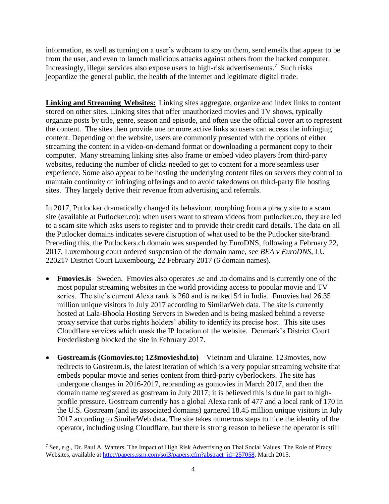information, as well as turning on a user's webcam to spy on them, send emails that appear to be from the user, and even to launch malicious attacks against others from the hacked computer. Increasingly, illegal services also expose users to high-risk advertisements.<sup>7</sup> Such risks jeopardize the general public, the health of the internet and legitimate digital trade.

**Linking and Streaming Websites:** Linking sites aggregate, organize and index links to content stored on other sites. Linking sites that offer unauthorized movies and TV shows, typically organize posts by title, genre, season and episode, and often use the official cover art to represent the content. The sites then provide one or more active links so users can access the infringing content. Depending on the website, users are commonly presented with the options of either streaming the content in a video-on-demand format or downloading a permanent copy to their computer. Many streaming linking sites also frame or embed video players from third-party websites, reducing the number of clicks needed to get to content for a more seamless user experience. Some also appear to be hosting the underlying content files on servers they control to maintain continuity of infringing offerings and to avoid takedowns on third-party file hosting sites. They largely derive their revenue from advertising and referrals.

In 2017, Putlocker dramatically changed its behaviour, morphing from a piracy site to a scam site (available at Putlocker.co): when users want to stream videos from putlocker.co, they are led to a scam site which asks users to register and to provide their credit card details. The data on all the Putlocker domains indicates severe disruption of what used to be the Putlocker site/brand. Preceding this, the Putlockers.ch domain was suspended by EuroDNS, following a February 22, 2017, Luxembourg court ordered suspension of the domain name, see *BEA v EuroDNS*, LU 220217 District Court Luxembourg, 22 February 2017 (6 domain names).

- **Fmovies.is** –Sweden. Fmovies also operates .se and .to domains and is currently one of the most popular streaming websites in the world providing access to popular movie and TV series. The site's current Alexa rank is 260 and is ranked 54 in India. Fmovies had 26.35 million unique visitors in July 2017 according to SimilarWeb data. The site is currently hosted at Lala-Bhoola Hosting Servers in Sweden and is being masked behind a reverse proxy service that curbs rights holders' ability to identify its precise host. This site uses Cloudflare services which mask the IP location of the website. Denmark's District Court Frederiksberg blocked the site in February 2017.
- **Gostream.is (Gomovies.to; 123movieshd.to)**  Vietnam and Ukraine. 123movies, now redirects to Gostream.is, the latest iteration of which is a very popular streaming website that embeds popular movie and series content from third-party cyberlockers. The site has undergone changes in 2016-2017, rebranding as gomovies in March 2017, and then the domain name registered as gostream in July 2017; it is believed this is due in part to highprofile pressure. Gostream currently has a global Alexa rank of 477 and a local rank of 170 in the U.S. Gostream (and its associated domains) garnered 18.45 million unique visitors in July 2017 according to SimilarWeb data. The site takes numerous steps to hide the identity of the operator, including using Cloudflare, but there is strong reason to believe the operator is still

 $\overline{\phantom{a}}$ 

<sup>&</sup>lt;sup>7</sup> See, e.g., Dr. Paul A. Watters, The Impact of High Risk Advertising on Thai Social Values: The Role of Piracy Websites, available at [http://papers.ssrn.com/sol3/papers.cfm?abstract\\_id=257058,](http://papers.ssrn.com/sol3/papers.cfm?abstract_id=257058) March 2015.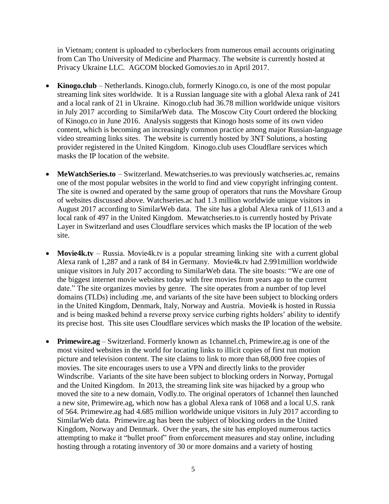in Vietnam; content is uploaded to cyberlockers from numerous email accounts originating from Can Tho University of Medicine and Pharmacy. The website is currently hosted at Privacy Ukraine LLC. AGCOM blocked Gomovies.to in April 2017.

- **Kinogo.club**  Netherlands. Kinogo.club, formerly Kinogo.co, is one of the most popular streaming link sites worldwide. It is a Russian language site with a global Alexa rank of 241 and a local rank of 21 in Ukraine. Kinogo.club had 36.78 million worldwide unique visitors in July 2017 according to SimilarWeb data. The Moscow City Court ordered the blocking of Kinogo.co in June 2016. Analysis suggests that Kinogo hosts some of its own video content, which is becoming an increasingly common practice among major Russian-language video streaming links sites. The website is currently hosted by 3NT Solutions, a hosting provider registered in the United Kingdom. Kinogo.club uses Cloudflare services which masks the IP location of the website.
- **MeWatchSeries.to** Switzerland. Mewatchseries.to was previously watchseries.ac, remains one of the most popular websites in the world to find and view copyright infringing content. The site is owned and operated by the same group of operators that runs the Movshare Group of websites discussed above. Watchseries.ac had 1.3 million worldwide unique visitors in August 2017 according to SimilarWeb data. The site has a global Alexa rank of 11,613 and a local rank of 497 in the United Kingdom. Mewatchseries.to is currently hosted by Private Layer in Switzerland and uses Cloudflare services which masks the IP location of the web site.
- **Movie4k.tv** Russia. Movie4k.tv is a popular streaming linking site with a current global Alexa rank of 1,287 and a rank of 84 in Germany. Movie4k.tv had 2.991million worldwide unique visitors in July 2017 according to SimilarWeb data. The site boasts: "We are one of the biggest internet movie websites today with free movies from years ago to the current date." The site organizes movies by genre. The site operates from a number of top level domains (TLDs) including .me, and variants of the site have been subject to blocking orders in the United Kingdom, Denmark, Italy, Norway and Austria. Movie4k is hosted in Russia and is being masked behind a reverse proxy service curbing rights holders' ability to identify its precise host. This site uses Cloudflare services which masks the IP location of the website.
- **Primewire.ag** Switzerland. Formerly known as 1channel.ch, Primewire.ag is one of the most visited websites in the world for locating links to illicit copies of first run motion picture and television content. The site claims to link to more than 68,000 free copies of movies. The site encourages users to use a VPN and directly links to the provider Windscribe. Variants of the site have been subject to blocking orders in Norway, Portugal and the United Kingdom. In 2013, the streaming link site was hijacked by a group who moved the site to a new domain, Vodly.to. The original operators of 1channel then launched a new site, Primewire.ag, which now has a global Alexa rank of 1068 and a local U.S. rank of 564. Primewire.ag had 4.685 million worldwide unique visitors in July 2017 according to SimilarWeb data. Primewire.ag has been the subject of blocking orders in the United Kingdom, Norway and Denmark. Over the years, the site has employed numerous tactics attempting to make it "bullet proof" from enforcement measures and stay online, including hosting through a rotating inventory of 30 or more domains and a variety of hosting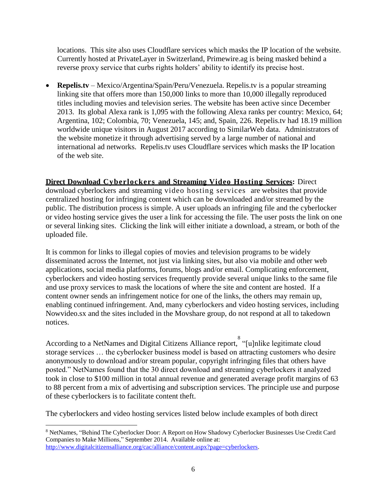locations. This site also uses Cloudflare services which masks the IP location of the website. Currently hosted at PrivateLayer in Switzerland, Primewire.ag is being masked behind a reverse proxy service that curbs rights holders' ability to identify its precise host.

 **Repelis.tv** – Mexico/Argentina/Spain/Peru/Venezuela. Repelis.tv is a popular streaming linking site that offers more than 150,000 links to more than 10,000 illegally reproduced titles including movies and television series. The website has been active since December 2013. Its global Alexa rank is 1,095 with the following Alexa ranks per country: Mexico, 64; Argentina, 102; Colombia, 70; Venezuela, 145; and, Spain, 226. Repelis.tv had 18.19 million worldwide unique visitors in August 2017 according to SimilarWeb data. Administrators of the website monetize it through advertising served by a large number of national and international ad networks. Repelis.tv uses Cloudflare services which masks the IP location of the web site.

**Direct Download Cyberlockers and Streaming Video Hosting Services:** Direct download cyberlockers and streaming video hosting services are websites that provide centralized hosting for infringing content which can be downloaded and/or streamed by the public. The distribution process is simple. A user uploads an infringing file and the cyberlocker or video hosting service gives the user a link for accessing the file. The user posts the link on one or several linking sites. Clicking the link will either initiate a download, a stream, or both of the uploaded file.

It is common for links to illegal copies of movies and television programs to be widely disseminated across the Internet, not just via linking sites, but also via mobile and other web applications, social media platforms, forums, blogs and/or email. Complicating enforcement, cyberlockers and video hosting services frequently provide several unique links to the same file and use proxy services to mask the locations of where the site and content are hosted. If a content owner sends an infringement notice for one of the links, the others may remain up, enabling continued infringement. And, many cyberlockers and video hosting services, including Nowvideo.sx and the sites included in the Movshare group, do not respond at all to takedown notices.

According to a NetNames and Digital Citizens Alliance report, <sup>8</sup> "[u]nlike legitimate cloud storage services … the cyberlocker business model is based on attracting customers who desire anonymously to download and/or stream popular, copyright infringing files that others have posted." NetNames found that the 30 direct download and streaming cyberlockers it analyzed took in close to \$100 million in total annual revenue and generated average profit margins of 63 to 88 percent from a mix of advertising and subscription services. The principle use and purpose of these cyberlockers is to facilitate content theft.

The cyberlockers and video hosting services listed below include examples of both direct

 $\overline{a}$ <sup>8</sup> NetNames, "Behind The Cyberlocker Door: A Report on How Shadowy Cyberlocker Businesses Use Credit Card Companies to Make Millions," September 2014. Available online at: [http://www.digitalcitizensalliance.org/cac/alliance/content.aspx?page=cyberlockers.](http://www.digitalcitizensalliance.org/cac/alliance/content.aspx?page=cyberlockers)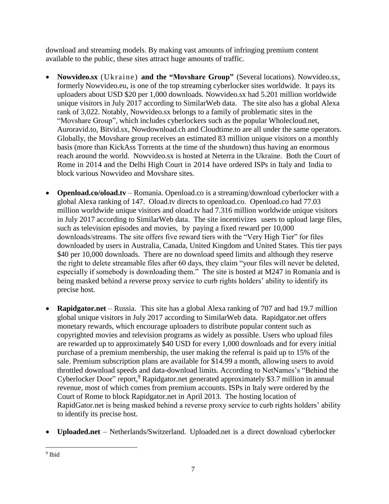download and streaming models. By making vast amounts of infringing premium content available to the public, these sites attract huge amounts of traffic.

- Nowvideo.sx (Ukraine) and the "Movshare Group" (Several locations). Nowvideo.sx, formerly Nowvideo.eu, is one of the top streaming cyberlocker sites worldwide. It pays its uploaders about USD \$20 per 1,000 downloads. Nowvideo.sx had 5.201 million worldwide unique visitors in July 2017 according to SimilarWeb data. The site also has a global Alexa rank of 3,022. Notably, Nowvideo.sx belongs to a family of problematic sites in the "Movshare Group", which includes cyberlockers such as the popular Wholecloud.net, Auroravid.to, Bitvid.sx, Nowdownload.ch and Cloudtime.to are all under the same operators. Globally, the Movshare group receives an estimated 83 million unique visitors on a monthly basis (more than KickAss Torrents at the time of the shutdown) thus having an enormous reach around the world. Nowvideo.sx is hosted at Neterra in the Ukraine. Both the Court of Rome in 2014 and the Delhi High Court in 2014 have ordered ISPs in Italy and India to block various Nowvideo and Movshare sites.
- **Openload.co/oload.tv** Romania. Openload.co is a streaming/download cyberlocker with a global Alexa ranking of 147. Oload.tv directs to openload.co. Openload.co had 77.03 million worldwide unique visitors and oload.tv had 7.316 million worldwide unique visitors in July 2017 according to SimilarWeb data. The site incentivizes users to upload large files, such as television episodes and movies, by paying a fixed reward per 10,000 downloads/streams. The site offers five reward tiers with the "Very High Tier" for files downloaded by users in Australia, Canada, United Kingdom and United States. This tier pays \$40 per 10,000 downloads. There are no download speed limits and although they reserve the right to delete streamable files after 60 days, they claim "your files will never be deleted, especially if somebody is downloading them." The site is hosted at M247 in Romania and is being masked behind a reverse proxy service to curb rights holders' ability to identify its precise host.
- **Rapidgator.net** Russia. This site has a global Alexa ranking of 707 and had 19.7 million global unique visitors in July 2017 according to SimilarWeb data. Rapidgator.net offers monetary rewards, which encourage uploaders to distribute popular content such as copyrighted movies and television programs as widely as possible. Users who upload files are rewarded up to approximately \$40 USD for every 1,000 downloads and for every initial purchase of a premium membership, the user making the referral is paid up to 15% of the sale. Premium subscription plans are available for \$14.99 a month, allowing users to avoid throttled download speeds and data-download limits. According to NetNames's "Behind the Cyberlocker Door" report,<sup>9</sup> Rapidgator.net generated approximately \$3.7 million in annual revenue, most of which comes from premium accounts. ISPs in Italy were ordered by the Court of Rome to block Rapidgator.net in April 2013. The hosting location of RapidGator.net is being masked behind a reverse proxy service to curb rights holders' ability to identify its precise host.
- **Uploaded.net** Netherlands/Switzerland. Uploaded.net is a direct download cyberlocker

 $\overline{\phantom{a}}$ <sup>9</sup> Ibid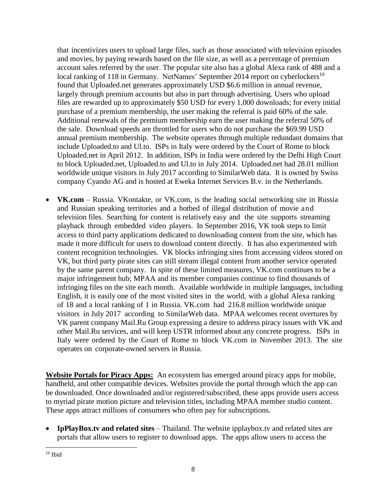that incentivizes users to upload large files, such as those associated with television episodes and movies, by paying rewards based on the file size, as well as a percentage of premium account sales referred by the user. The popular site also has a global Alexa rank of 488 and a local ranking of 118 in Germany. NetNames' September 2014 report on cyberlockers<sup>10</sup> found that Uploaded.net generates approximately USD \$6.6 million in annual revenue, largely through premium accounts but also in part through advertising. Users who upload files are rewarded up to approximately \$50 USD for every 1,000 downloads; for every initial purchase of a premium membership, the user making the referral is paid 60% of the sale. Additional renewals of the premium membership earn the user making the referral 50% of the sale. Download speeds are throttled for users who do not purchase the \$69.99 USD annual premium membership. The website operates through multiple redundant domains that include Uploaded.to and Ul.to. ISPs in Italy were ordered by the Court of Rome to block Uploaded.net in April 2012. In addition, ISPs in India were ordered by the Delhi High Court to block Uploaded.net, Uploaded.to and Ul.to in July 2014. Uploaded.net had 28.01 million worldwide unique visitors in July 2017 according to SimilarWeb data. It is owned by Swiss company Cyando AG and is hosted at Eweka Internet Services B.v. in the Netherlands.

 **VK.com** – Russia. VKontakte, or VK.com, is the leading social networking site in Russia and Russian speaking territories and a hotbed of illegal distribution of movie and television files. Searching for content is relatively easy and the site supports streaming playback through embedded video players. In September 2016, VK took steps to limit access to third party applications dedicated to downloading content from the site, which has made it more difficult for users to download content directly. It has also experimented with content recognition technologies. VK blocks infringing sites from accessing videos stored on VK, but third party pirate sites can still stream illegal content from another service operated by the same parent company. In spite of these limited measures, VK.com continues to be a major infringement hub; MPAA and its member companies continue to find thousands of infringing files on the site each month. Available worldwide in multiple languages, including English, it is easily one of the most visited sites in the world, with a global Alexa ranking of 18 and a local ranking of 1 in Russia. VK.com had 216.8 million worldwide unique visitors in July 2017 according to SimilarWeb data. MPAA welcomes recent overtures by VK parent company Mail.Ru Group expressing a desire to address piracy issues with VK and other Mail.Ru services, and will keep USTR informed about any concrete progress. ISPs in Italy were ordered by the Court of Rome to block VK.com in November 2013. The site operates on corporate-owned servers in Russia.

**Website Portals for Piracy Apps:** An ecosystem has emerged around piracy apps for mobile, handheld, and other compatible devices. Websites provide the portal through which the app can be downloaded. Once downloaded and/or registered/subscribed, these apps provide users access to myriad pirate motion picture and television titles, including MPAA member studio content. These apps attract millions of consumers who often pay for subscriptions.

 **IpPlayBox.tv and related sites** – Thailand. The website ipplaybox.tv and related sites are portals that allow users to register to download apps. The apps allow users to access the

 $\overline{\phantom{a}}$  $10$  Ibid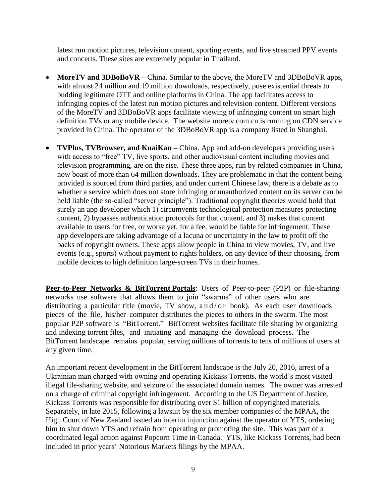latest run motion pictures, television content, sporting events, and live streamed PPV events and concerts. These sites are extremely popular in Thailand.

- **MoreTV and 3DBoBoVR** China. Similar to the above, the MoreTV and 3DBoBoVR apps, with almost 24 million and 19 million downloads, respectively, pose existential threats to budding legitimate OTT and online platforms in China. The app facilitates access to infringing copies of the latest run motion pictures and television content. Different versions of the MoreTV and 3DBoBoVR apps facilitate viewing of infringing content on smart high definition TVs or any mobile device. The website moretv.com.cn is running on CDN service provided in China. The operator of the 3DBoBoVR app is a company listed in Shanghai.
- **TVPlus, TVBrowser, and KuaiKan –** China. App and add-on developers providing users with access to "free" TV, live sports, and other audiovisual content including movies and television programming, are on the rise. These three apps, run by related companies in China, now boast of more than 64 million downloads. They are problematic in that the content being provided is sourced from third parties, and under current Chinese law, there is a debate as to whether a service which does not store infringing or unauthorized content on its server can be held liable (the so-called "server principle"). Traditional copyright theories would hold that surely an app developer which 1) circumvents technological protection measures protecting content, 2) bypasses authentication protocols for that content, and 3) makes that content available to users for free, or worse yet, for a fee, would be liable for infringement. These app developers are taking advantage of a lacuna or uncertainty in the law to profit off the backs of copyright owners. These apps allow people in China to view movies, TV, and live events (e.g., sports) without payment to rights holders, on any device of their choosing, from mobile devices to high definition large-screen TVs in their homes.

**Peer-to-Peer Networks & BitTorrent Portals**: Users of Peer-to-peer (P2P) or file-sharing networks use software that allows them to join "swarms" of other users who are distributing a particular title (movie, TV show, and/or book). As each user downloads pieces of the file, his/her computer distributes the pieces to others in the swarm. The most popular P2P software is "BitTorrent." BitTorrent websites facilitate file sharing by organizing and indexing torrent files, and initiating and managing the download process. The BitTorrent landscape remains popular, serving millions of torrents to tens of millions of users at any given time.

An important recent development in the BitTorrent landscape is the July 20, 2016, arrest of a Ukrainian man charged with owning and operating Kickass Torrents, the world's most visited illegal file-sharing website, and seizure of the associated domain names. The owner was arrested on a charge of criminal copyright infringement. According to the US Department of Justice, Kickass Torrents was responsible for distributing over \$1 billion of copyrighted materials. Separately, in late 2015, following a lawsuit by the six member companies of the MPAA, the High Court of New Zealand issued an interim injunction against the operator of YTS, ordering him to shut down YTS and refrain from operating or promoting the site. This was part of a coordinated legal action against Popcorn Time in Canada. YTS, like Kickass Torrents, had been included in prior years' Notorious Markets filings by the MPAA.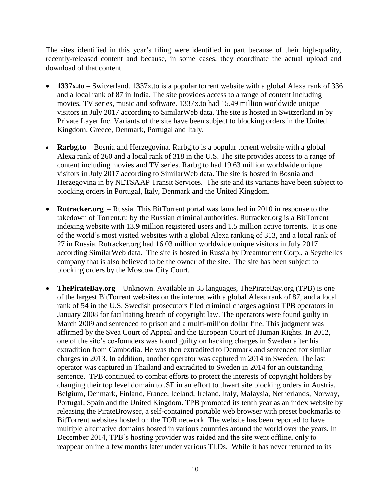The sites identified in this year's filing were identified in part because of their high-quality, recently-released content and because, in some cases, they coordinate the actual upload and download of that content.

- **1337x.to –** Switzerland. 1337x.to is a popular torrent website with a global Alexa rank of 336 and a local rank of 87 in India. The site provides access to a range of content including movies, TV series, music and software. 1337x.to had 15.49 million worldwide unique visitors in July 2017 according to SimilarWeb data. The site is hosted in Switzerland in by Private Layer Inc. Variants of the site have been subject to blocking orders in the United Kingdom, Greece, Denmark, Portugal and Italy.
- **Rarbg.to –** Bosnia and Herzegovina. Rarbg.to is a popular torrent website with a global Alexa rank of 260 and a local rank of 318 in the U.S. The site provides access to a range of content including movies and TV series. Rarbg.to had 19.63 million worldwide unique visitors in July 2017 according to SimilarWeb data. The site is hosted in Bosnia and Herzegovina in by NETSAAP Transit Services. The site and its variants have been subject to blocking orders in Portugal, Italy, Denmark and the United Kingdom.
- **Rutracker.org** Russia. This BitTorrent portal was launched in 2010 in response to the takedown of Torrent.ru by the Russian criminal authorities. Rutracker.org is a BitTorrent indexing website with 13.9 million registered users and 1.5 million active torrents. It is one of the world's most visited websites with a global Alexa ranking of 313, and a local rank of 27 in Russia. Rutracker.org had 16.03 million worldwide unique visitors in July 2017 according SimilarWeb data. The site is hosted in Russia by Dreamtorrent Corp., a Seychelles company that is also believed to be the owner of the site. The site has been subject to blocking orders by the Moscow City Court.
- **ThePirateBay.org** Unknown. Available in 35 languages, ThePirateBay.org (TPB) is one of the largest BitTorrent websites on the internet with a global Alexa rank of 87, and a local rank of 54 in the U.S. Swedish prosecutors filed criminal charges against TPB operators in January 2008 for facilitating breach of copyright law. The operators were found guilty in March 2009 and sentenced to prison and a multi-million dollar fine. This judgment was affirmed by the Svea Court of Appeal and the European Court of Human Rights. In 2012, one of the site's co-founders was found guilty on hacking charges in Sweden after his extradition from Cambodia. He was then extradited to Denmark and sentenced for similar charges in 2013. In addition, another operator was captured in 2014 in Sweden. The last operator was captured in Thailand and extradited to Sweden in 2014 for an outstanding sentence. TPB continued to combat efforts to protect the interests of copyright holders by changing their top level domain to .SE in an effort to thwart site blocking orders in Austria, Belgium, Denmark, Finland, France, Iceland, Ireland, Italy, Malaysia, Netherlands, Norway, Portugal, Spain and the United Kingdom. TPB promoted its tenth year as an index website by releasing the PirateBrowser, a self-contained portable web browser with preset bookmarks to BitTorrent websites hosted on the TOR network. The website has been reported to have multiple alternative domains hosted in various countries around the world over the years. In December 2014, TPB's hosting provider was raided and the site went offline, only to reappear online a few months later under various TLDs. While it has never returned to its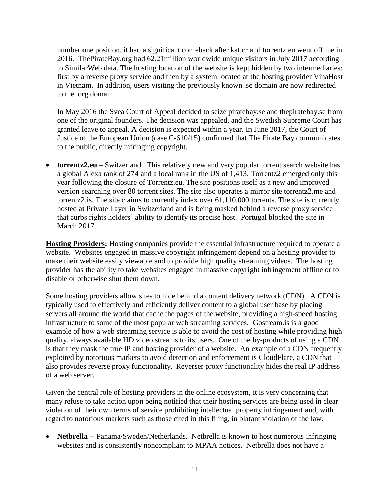number one position, it had a significant comeback after kat.cr and torrentz.eu went offline in 2016. ThePirateBay.org had 62.21million worldwide unique visitors in July 2017 according to SimilarWeb data. The hosting location of the website is kept hidden by two intermediaries: first by a reverse proxy service and then by a system located at the hosting provider VinaHost in Vietnam. In addition, users visiting the previously known .se domain are now redirected to the .org domain.

In May 2016 the Svea Court of Appeal decided to seize piratebay.se and thepiratebay.se from one of the original founders. The decision was appealed, and the Swedish Supreme Court has granted leave to appeal. A decision is expected within a year. In June 2017, the Court of Justice of the European Union (case C-610/15) confirmed that The Pirate Bay communicates to the public, directly infringing copyright.

 **torrentz2.eu** – Switzerland. This relatively new and very popular torrent search website has a global Alexa rank of 274 and a local rank in the US of 1,413. Torrentz2 emerged only this year following the closure of Torrentz.eu. The site positions itself as a new and improved version searching over 80 torrent sites. The site also operates a mirror site torrentz2.me and torrentz2.is. The site claims to currently index over 61,110,000 torrents. The site is currently hosted at Private Layer in Switzerland and is being masked behind a reverse proxy service that curbs rights holders' ability to identify its precise host. Portugal blocked the site in March 2017.

**Hosting Providers:** Hosting companies provide the essential infrastructure required to operate a website. Websites engaged in massive copyright infringement depend on a hosting provider to make their website easily viewable and to provide high quality streaming videos. The hosting provider has the ability to take websites engaged in massive copyright infringement offline or to disable or otherwise shut them down.

Some hosting providers allow sites to hide behind a content delivery network (CDN). A CDN is typically used to effectively and efficiently deliver content to a global user base by placing servers all around the world that cache the pages of the website, providing a high-speed hosting infrastructure to some of the most popular web streaming services. Gostream.is is a good example of how a web streaming service is able to avoid the cost of hosting while providing high quality, always available HD video streams to its users. One of the by-products of using a CDN is that they mask the true IP and hosting provider of a website. An example of a CDN frequently exploited by notorious markets to avoid detection and enforcement is CloudFlare, a CDN that also provides reverse proxy functionality. Reverser proxy functionality hides the real IP address of a web server.

Given the central role of hosting providers in the online ecosystem, it is very concerning that many refuse to take action upon being notified that their hosting services are being used in clear violation of their own terms of service prohibiting intellectual property infringement and, with regard to notorious markets such as those cited in this filing, in blatant violation of the law.

 **Netbrella** -- Panama/Sweden/Netherlands. Netbrella is known to host numerous infringing websites and is consistently noncompliant to MPAA notices. Netbrella does not have a